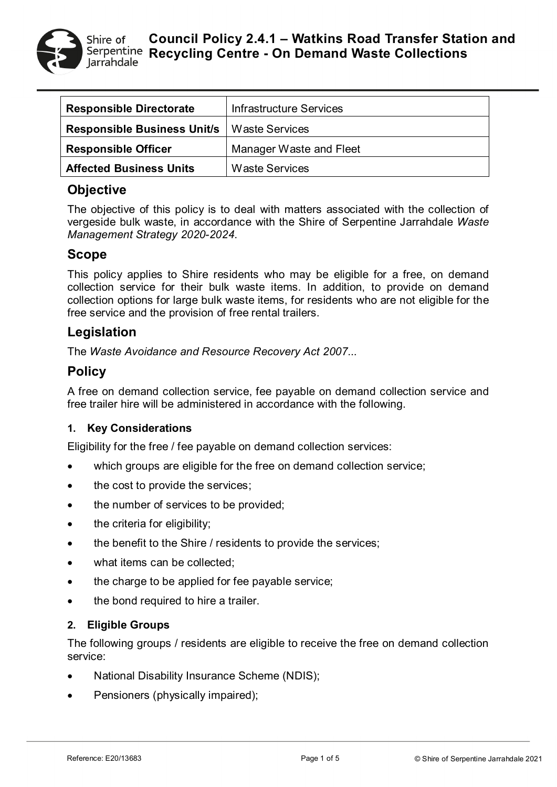

| <b>Responsible Directorate</b>     | Infrastructure Services |
|------------------------------------|-------------------------|
| <b>Responsible Business Unit/s</b> | Waste Services          |
| <b>Responsible Officer</b>         | Manager Waste and Fleet |
| <b>Affected Business Units</b>     | Waste Services          |

# **Objective**

The objective of this policy is to deal with matters associated with the collection of vergeside bulk waste, in accordance with the Shire of Serpentine Jarrahdale *Waste Management Strategy 2020-2024*.

## **Scope**

This policy applies to Shire residents who may be eligible for a free, on demand collection service for their bulk waste items. In addition, to provide on demand collection options for large bulk waste items, for residents who are not eligible for the free service and the provision of free rental trailers.

# **Legislation**

The *Waste Avoidance and Resource Recovery Act 2007*...

# **Policy**

A free on demand collection service, fee payable on demand collection service and free trailer hire will be administered in accordance with the following.

### **1. Key Considerations**

Eligibility for the free / fee payable on demand collection services:

- which groups are eligible for the free on demand collection service;
- the cost to provide the services;
- the number of services to be provided;
- the criteria for eligibility;
- the benefit to the Shire / residents to provide the services;
- what items can be collected;
- the charge to be applied for fee payable service;
- the bond required to hire a trailer.

#### **2. Eligible Groups**

The following groups / residents are eligible to receive the free on demand collection service:

- National Disability Insurance Scheme (NDIS);
- Pensioners (physically impaired);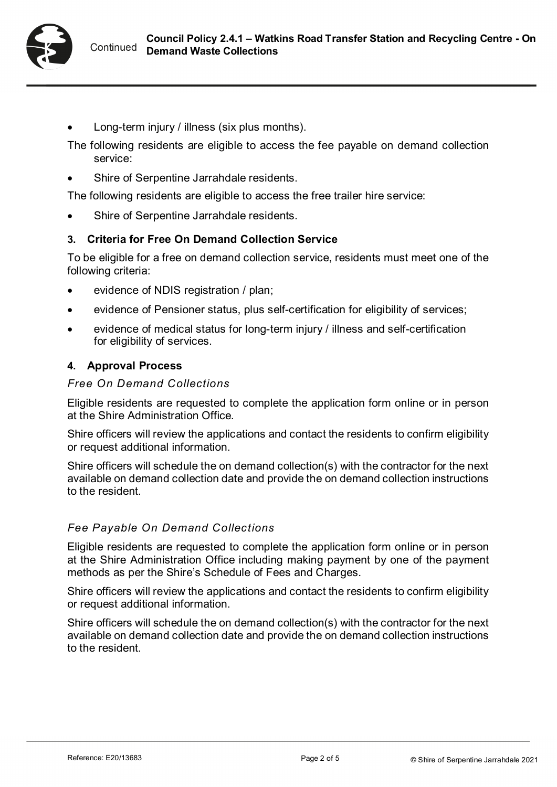

- Long-term injury / illness (six plus months).
- The following residents are eligible to access the fee payable on demand collection service:
- Shire of Serpentine Jarrahdale residents.

The following residents are eligible to access the free trailer hire service:

Shire of Serpentine Jarrahdale residents.

### **3. Criteria for Free On Demand Collection Service**

To be eligible for a free on demand collection service, residents must meet one of the following criteria:

- evidence of NDIS registration / plan;
- evidence of Pensioner status, plus self-certification for eligibility of services;
- evidence of medical status for long-term injury / illness and self-certification for eligibility of services.

### **4. Approval Process**

#### *Free On Demand Collections*

Eligible residents are requested to complete the application form online or in person at the Shire Administration Office.

Shire officers will review the applications and contact the residents to confirm eligibility or request additional information.

Shire officers will schedule the on demand collection(s) with the contractor for the next available on demand collection date and provide the on demand collection instructions to the resident.

#### *Fee Payable On Demand Collections*

Eligible residents are requested to complete the application form online or in person at the Shire Administration Office including making payment by one of the payment methods as per the Shire's Schedule of Fees and Charges.

Shire officers will review the applications and contact the residents to confirm eligibility or request additional information.

Shire officers will schedule the on demand collection(s) with the contractor for the next available on demand collection date and provide the on demand collection instructions to the resident.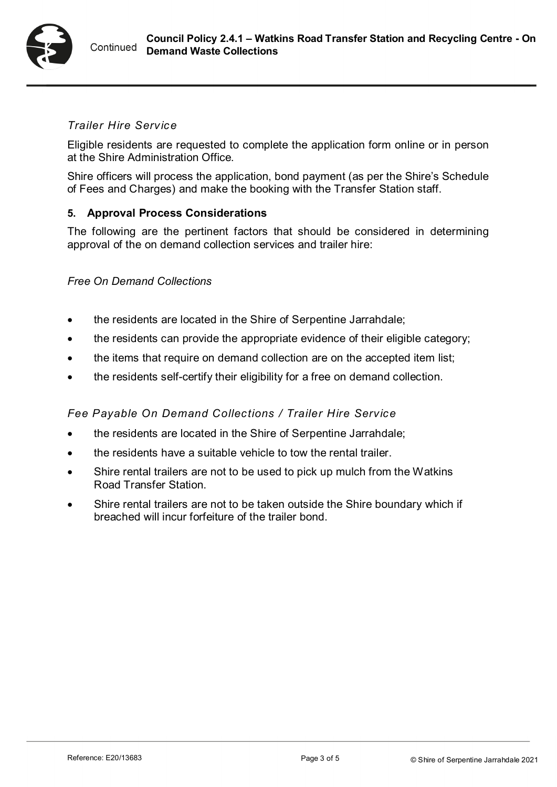

### *Trailer Hire Service*

Eligible residents are requested to complete the application form online or in person at the Shire Administration Office.

Shire officers will process the application, bond payment (as per the Shire's Schedule of Fees and Charges) and make the booking with the Transfer Station staff.

### **5. Approval Process Considerations**

The following are the pertinent factors that should be considered in determining approval of the on demand collection services and trailer hire:

#### *Free On Demand Collections*

- the residents are located in the Shire of Serpentine Jarrahdale;
- the residents can provide the appropriate evidence of their eligible category;
- the items that require on demand collection are on the accepted item list;
- the residents self-certify their eligibility for a free on demand collection.

### *Fee Payable On Demand Collections / Trailer Hire Service*

- the residents are located in the Shire of Serpentine Jarrahdale;
- the residents have a suitable vehicle to tow the rental trailer.
- Shire rental trailers are not to be used to pick up mulch from the Watkins Road Transfer Station.
- Shire rental trailers are not to be taken outside the Shire boundary which if breached will incur forfeiture of the trailer bond.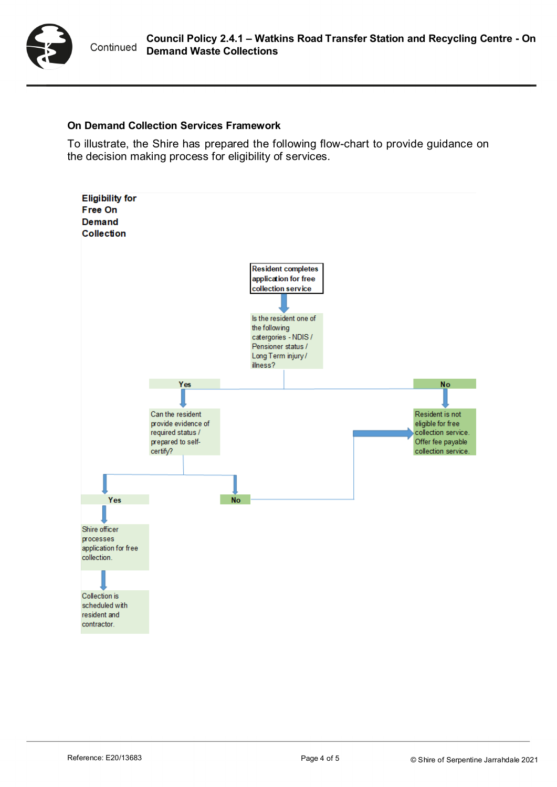

#### **On Demand Collection Services Framework**

To illustrate, the Shire has prepared the following flow-chart to provide guidance on the decision making process for eligibility of services.